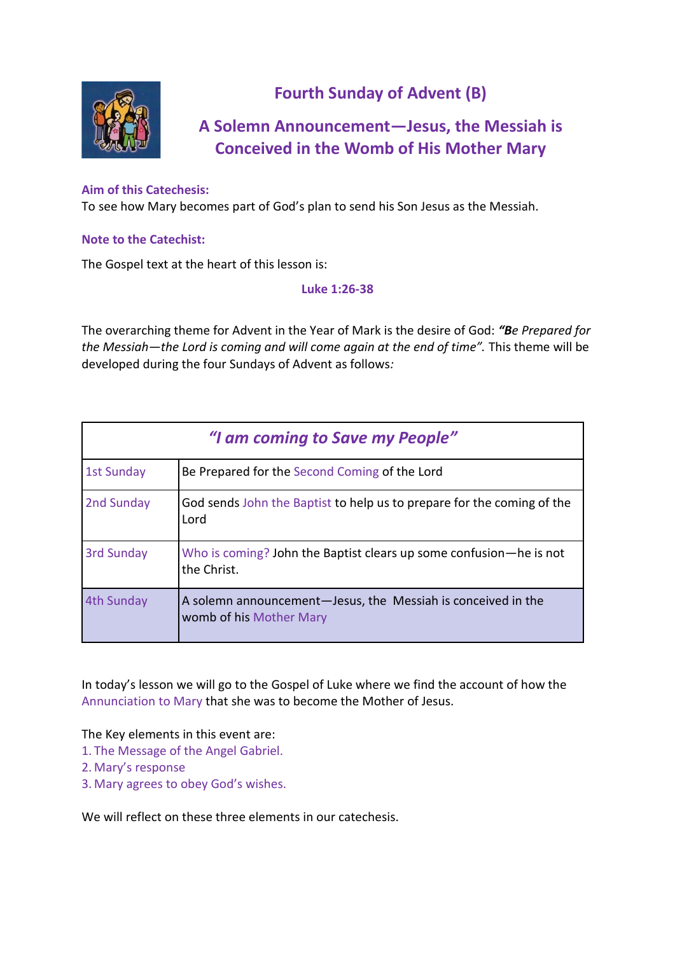

# **Fourth Sunday of Advent (B)**

# **A Solemn Announcement—Jesus, the Messiah is Conceived in the Womb of His Mother Mary**

#### **Aim of this Catechesis:**

To see how Mary becomes part of God's plan to send his Son Jesus as the Messiah.

#### **Note to the Catechist:**

The Gospel text at the heart of this lesson is:

#### **Luke 1:26-38**

The overarching theme for Advent in the Year of Mark is the desire of God: *"Be Prepared for the Messiah—the Lord is coming and will come again at the end of time".* This theme will be developed during the four Sundays of Advent as follows*:*

| "I am coming to Save my People" |                                                                                         |  |
|---------------------------------|-----------------------------------------------------------------------------------------|--|
| <b>1st Sunday</b>               | Be Prepared for the Second Coming of the Lord                                           |  |
| 2nd Sunday                      | God sends John the Baptist to help us to prepare for the coming of the<br>Lord          |  |
| <b>3rd Sunday</b>               | Who is coming? John the Baptist clears up some confusion—he is not<br>the Christ.       |  |
| 4th Sunday                      | A solemn announcement-Jesus, the Messiah is conceived in the<br>womb of his Mother Mary |  |

In today's lesson we will go to the Gospel of Luke where we find the account of how the Annunciation to Mary that she was to become the Mother of Jesus.

The Key elements in this event are:

- 1. The Message of the Angel Gabriel.
- 2. Mary's response
- 3. Mary agrees to obey God's wishes.

We will reflect on these three elements in our catechesis.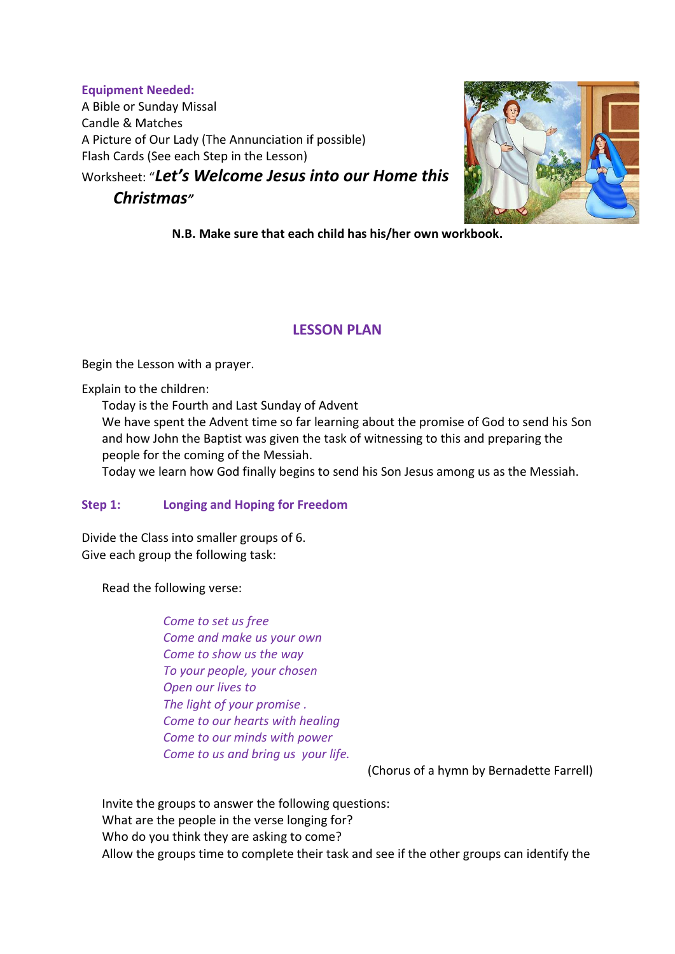**Equipment Needed:** A Bible or Sunday Missal Candle & Matches A Picture of Our Lady (The Annunciation if possible) Flash Cards (See each Step in the Lesson)

Worksheet: "*Let's Welcome Jesus into our Home this* 

# *Christmas"*



**N.B. Make sure that each child has his/her own workbook.**

# **LESSON PLAN**

Begin the Lesson with a prayer.

Explain to the children:

Today is the Fourth and Last Sunday of Advent

We have spent the Advent time so far learning about the promise of God to send his Son and how John the Baptist was given the task of witnessing to this and preparing the people for the coming of the Messiah.

Today we learn how God finally begins to send his Son Jesus among us as the Messiah.

## **Step 1: Longing and Hoping for Freedom**

Divide the Class into smaller groups of 6. Give each group the following task:

Read the following verse:

*Come to set us free Come and make us your own Come to show us the way To your people, your chosen Open our lives to The light of your promise . Come to our hearts with healing Come to our minds with power Come to us and bring us your life.*

(Chorus of a hymn by Bernadette Farrell)

Invite the groups to answer the following questions: What are the people in the verse longing for? Who do you think they are asking to come? Allow the groups time to complete their task and see if the other groups can identify the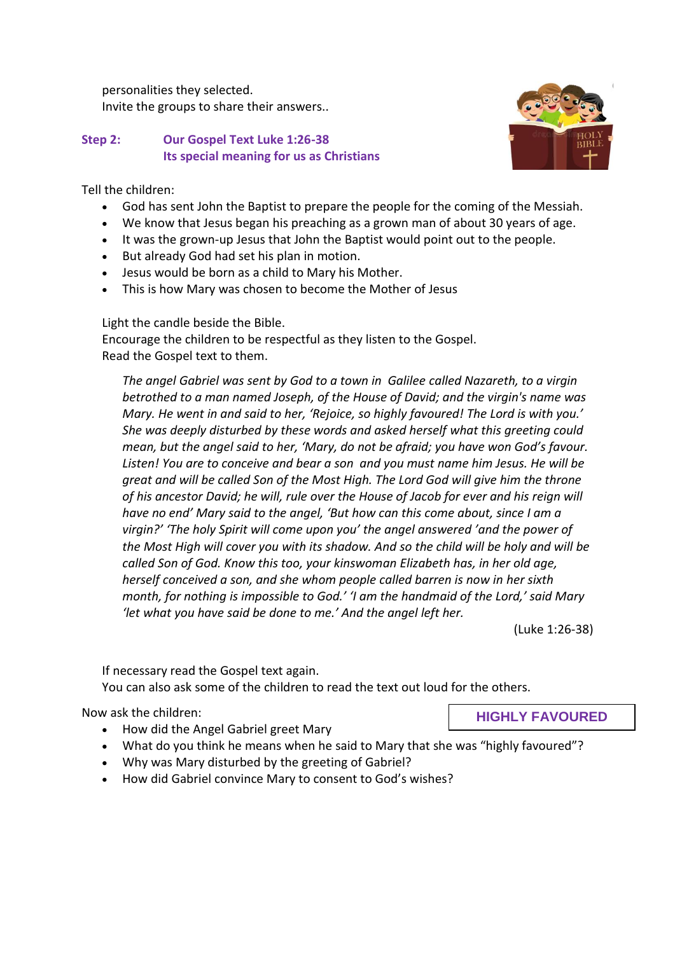personalities they selected. Invite the groups to share their answers..

#### **Step 2: Our Gospel Text Luke 1:26-38 Its special meaning for us as Christians**

Tell the children:

- God has sent John the Baptist to prepare the people for the coming of the Messiah.
- We know that Jesus began his preaching as a grown man of about 30 years of age.
- It was the grown-up Jesus that John the Baptist would point out to the people.
- But already God had set his plan in motion.
- Jesus would be born as a child to Mary his Mother.
- This is how Mary was chosen to become the Mother of Jesus

Light the candle beside the Bible. Encourage the children to be respectful as they listen to the Gospel. Read the Gospel text to them.

*The angel Gabriel was sent by God to a town in Galilee called Nazareth, to a virgin betrothed to a man named Joseph, of the House of David; and the virgin's name was Mary. He went in and said to her, 'Rejoice, so highly favoured! The Lord is with you.' She was deeply disturbed by these words and asked herself what this greeting could mean, but the angel said to her, 'Mary, do not be afraid; you have won God's favour. Listen! You are to conceive and bear a son and you must name him Jesus. He will be great and will be called Son of the Most High. The Lord God will give him the throne of his ancestor David; he will, rule over the House of Jacob for ever and his reign will have no end' Mary said to the angel, 'But how can this come about, since I am a virgin?' 'The holy Spirit will come upon you' the angel answered 'and the power of the Most High will cover you with its shadow. And so the child will be holy and will be called Son of God. Know this too, your kinswoman Elizabeth has, in her old age, herself conceived a son, and she whom people called barren is now in her sixth month, for nothing is impossible to God.' 'I am the handmaid of the Lord,' said Mary 'let what you have said be done to me.' And the angel left her.*

(Luke 1:26-38)

If necessary read the Gospel text again.

You can also ask some of the children to read the text out loud for the others.

Now ask the children:

- How did the Angel Gabriel greet Mary
- What do you think he means when he said to Mary that she was "highly favoured"?
- Why was Mary disturbed by the greeting of Gabriel?
- How did Gabriel convince Mary to consent to God's wishes?



**HIGHLY FAVOURED**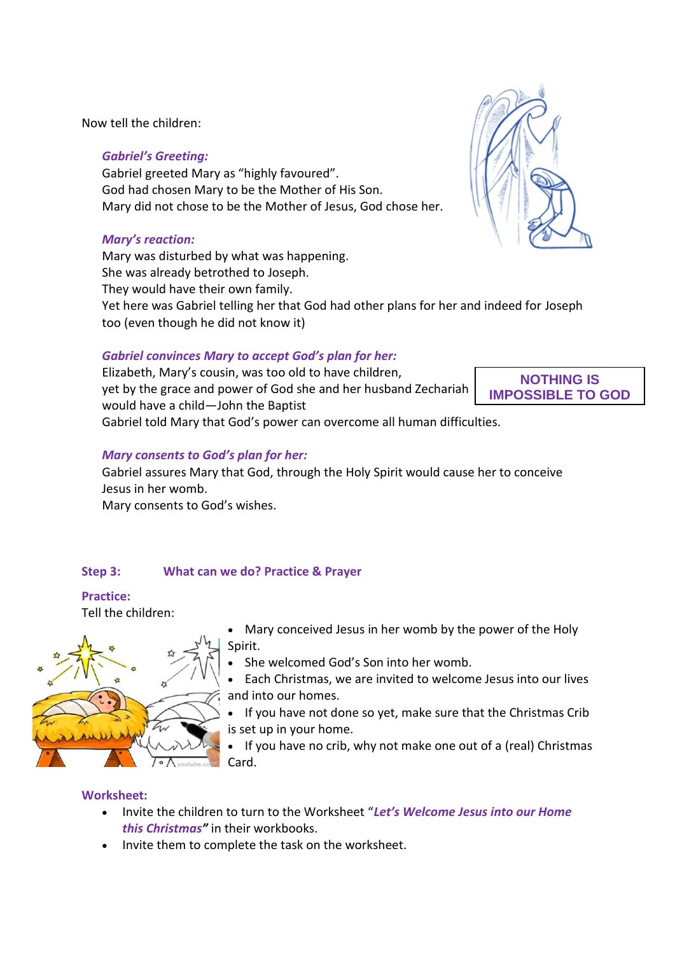Now tell the children:

## *Gabriel's Greeting:*

Gabriel greeted Mary as "highly favoured". God had chosen Mary to be the Mother of His Son. Mary did not chose to be the Mother of Jesus, God chose her.

## *Mary's reaction:*

Mary was disturbed by what was happening. She was already betrothed to Joseph. They would have their own family. Yet here was Gabriel telling her that God had other plans for her and indeed for Joseph too (even though he did not know it)

## *Gabriel convinces Mary to accept God's plan for her:*

Elizabeth, Mary's cousin, was too old to have children, yet by the grace and power of God she and her husband Zechariah would have a child—John the Baptist Gabriel told Mary that God's power can overcome all human difficulties.

## *Mary consents to God's plan for her:*

Gabriel assures Mary that God, through the Holy Spirit would cause her to conceive Jesus in her womb.

Mary consents to God's wishes.

## **Step 3: What can we do? Practice & Prayer**

## **Practice:**

Tell the children:



 Mary conceived Jesus in her womb by the power of the Holy Spirit.

She welcomed God's Son into her womb.

 Each Christmas, we are invited to welcome Jesus into our lives and into our homes.

 If you have not done so yet, make sure that the Christmas Crib is set up in your home.

 If you have no crib, why not make one out of a (real) Christmas Card.

## **Worksheet:**

- Invite the children to turn to the Worksheet "*Let's Welcome Jesus into our Home this Christmas"* in their workbooks.
- Invite them to complete the task on the worksheet.



**NOTHING IS IMPOSSIBLE TO GOD**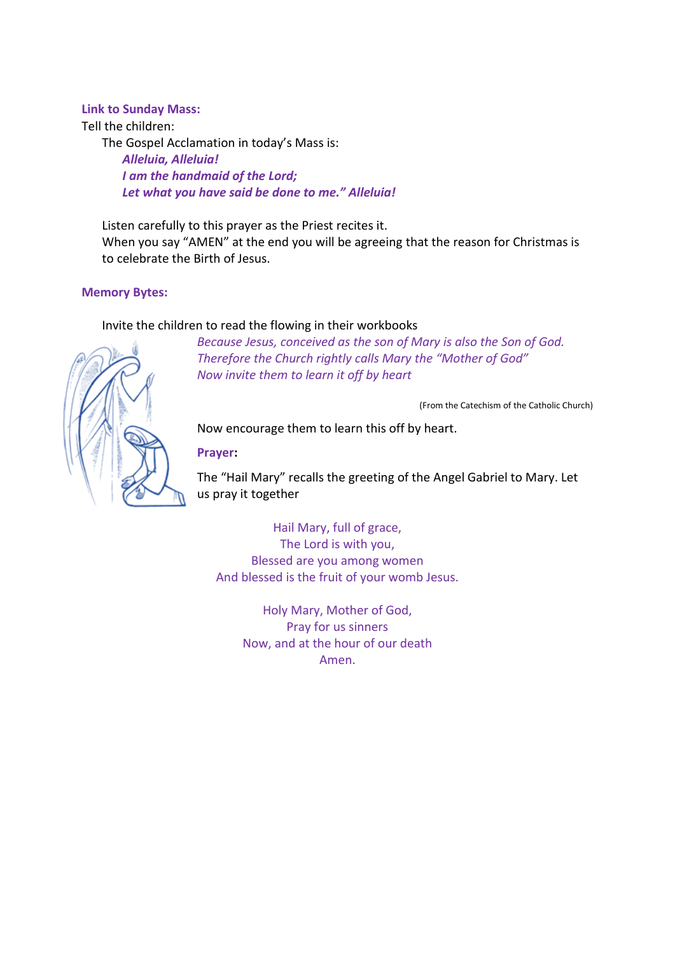#### **Link to Sunday Mass:**

Tell the children:

The Gospel Acclamation in today's Mass is:

*Alleluia, Alleluia! I am the handmaid of the Lord; Let what you have said be done to me." Alleluia!*

Listen carefully to this prayer as the Priest recites it. When you say "AMEN" at the end you will be agreeing that the reason for Christmas is to celebrate the Birth of Jesus.

#### **Memory Bytes:**

#### Invite the children to read the flowing in their workbooks

*Because Jesus, conceived as the son of Mary is also the Son of God. Therefore the Church rightly calls Mary the "Mother of God" Now invite them to learn it off by heart*

(From the Catechism of the Catholic Church)

Now encourage them to learn this off by heart.

**Prayer:**

The "Hail Mary" recalls the greeting of the Angel Gabriel to Mary. Let us pray it together

Hail Mary, full of grace, The Lord is with you, Blessed are you among women And blessed is the fruit of your womb Jesus.

> Holy Mary, Mother of God, Pray for us sinners Now, and at the hour of our death Amen.

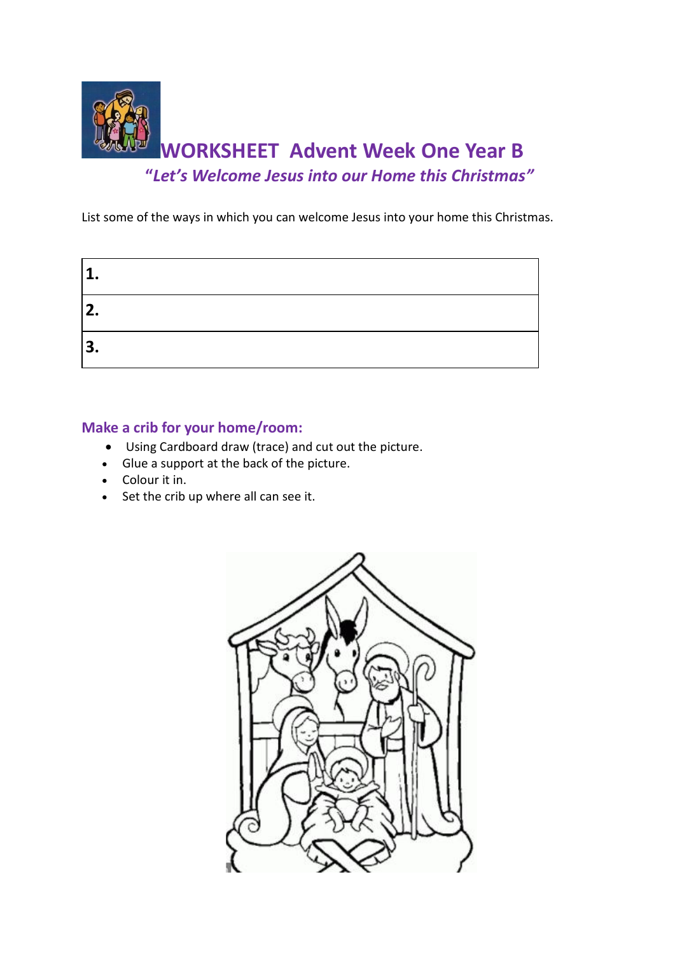

List some of the ways in which you can welcome Jesus into your home this Christmas.

| 1            |  |
|--------------|--|
| 2.           |  |
| $\mathbf{3}$ |  |

# **Make a crib for your home/room:**

- Using Cardboard draw (trace) and cut out the picture.
- Glue a support at the back of the picture.
- Colour it in.
- Set the crib up where all can see it.